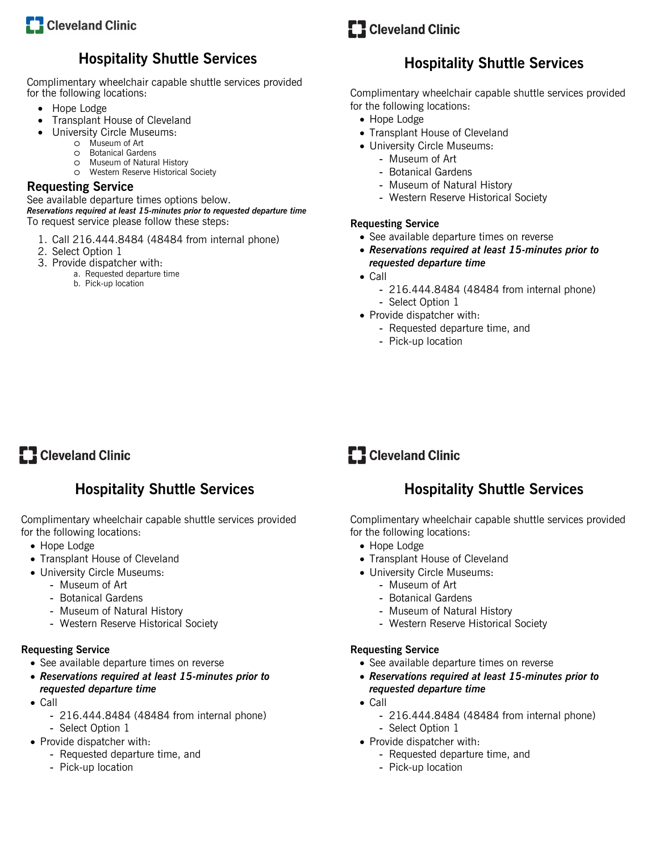

# **Hospitality Shuttle Services**

Complimentary wheelchair capable shuttle services provided for the following locations:

- Hope Lodge
- Transplant House of Cleveland
- University Circle Museums:
	- o Museum of Art
	- o Botanical Gardens
	- o Museum of Natural History
	- o Western Reserve Historical Society

# **Requesting Service**

See available departure times options below.

*Reservations required at least 15-minutes prior to requested departure time*  To request service please follow these steps:

- 1. Call 216.444.8484 (48484 from internal phone)
- 2. Select Option 1
- 3. Provide dispatcher with:
	- a. Requested departure time
	- b. Pick-up location